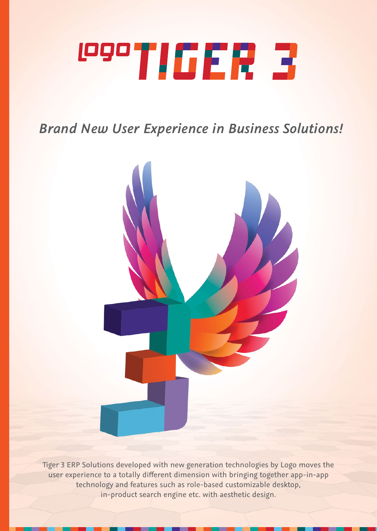# **1990TIGER 3**

*Brand New User Experience in Business Solutions!*



Tiger 3 ERP Solutions developed with new generation technologies by Logo moves the user experience to a totally different dimension with bringing together app-in-app technology and features such as role-based customizable desktop, in-product search engine etc. with aesthetic design.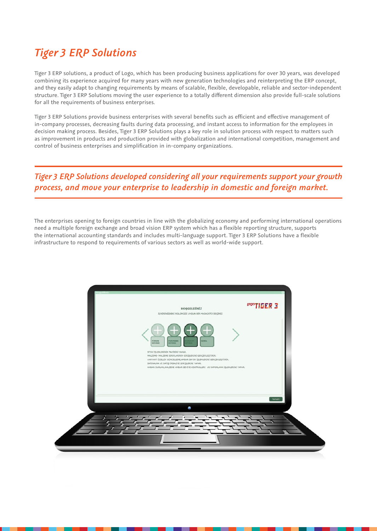#### *Tiger 3 ERP Solutions*

Tiger 3 ERP solutions, a product of Logo, which has been producing business applications for over 30 years, was developed combining its experience acquired for many years with new generation technologies and reinterpreting the ERP concept, and they easily adapt to changing requirements by means of scalable, flexible, developable, reliable and sector-independent structure. Tiger 3 ERP Solutions moving the user experience to a totally different dimension also provide full-scale solutions for all the requirements of business enterprises.

Tiger 3 ERP Solutions provide business enterprises with several benefits such as efficient and effective management of in-company processes, decreasing faults during data processing, and instant access to information for the employees in decision making process. Besides, Tiger 3 ERP Solutions plays a key role in solution process with respect to matters such as improvement in products and production provided with globalization and international competition, management and control of business enterprises and simplification in in-company organizations.

#### *Tiger 3 ERP Solutions developed considering all your requirements support your growth process, and move your enterprise to leadership in domestic and foreign market.*

The enterprises opening to foreign countries in line with the globalizing economy and performing international operations need a multiple foreign exchange and broad vision ERP system which has a flexible reporting structure, supports the international accounting standards and includes multi-language support. Tiger 3 ERP Solutions have a flexible infrastructure to respond to requirements of various sectors as well as world-wide support.

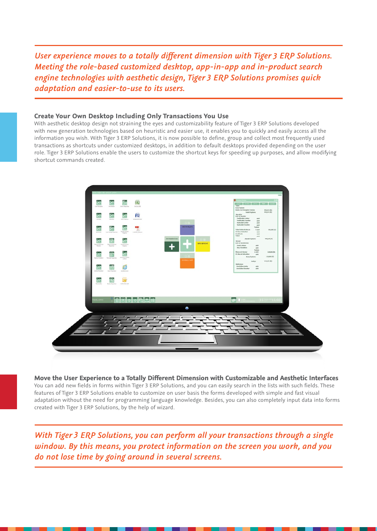*User experience moves to a totally different dimension with Tiger 3 ERP Solutions. Meeting the role-based customized desktop, app-in-app and in-product search engine technologies with aesthetic design, Tiger 3 ERP Solutions promises quick adaptation and easier-to-use to its users.*

#### **Create Your Own Desktop Including Only Transactions You Use**

With aesthetic desktop design not straining the eyes and customizability feature of Tiger 3 ERP Solutions developed with new generation technologies based on heuristic and easier use, it enables you to quickly and easily access all the information you wish. With Tiger 3 ERP Solutions, it is now possible to define, group and collect most frequently used transactions as shortcuts under customized desktops, in addition to default desktops provided depending on the user role. Tiger 3 ERP Solutions enable the users to customize the shortcut keys for speeding up purposes, and allow modifying shortcut commands created.



**Move the User Experience to a Totally Different Dimension with Customizable and Aesthetic Interfaces** You can add new fields in forms within Tiger 3 ERP Solutions, and you can easily search in the lists with such fields. These features of Tiger 3 ERP Solutions enable to customize on user basis the forms developed with simple and fast visual adaptation without the need for programming language knowledge. Besides, you can also completely input data into forms created with Tiger 3 ERP Solutions, by the help of wizard.

*With Tiger 3 ERP Solutions, you can perform all your transactions through a single window. By this means, you protect information on the screen you work, and you do not lose time by going around in several screens.*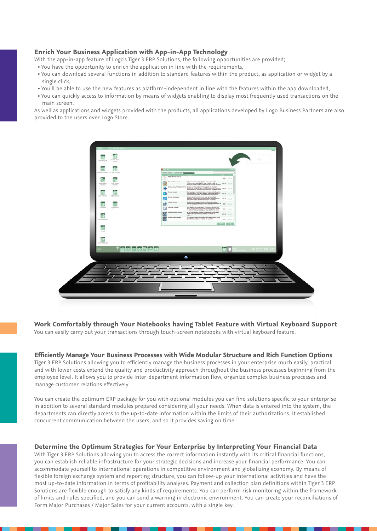#### **Enrich Your Business Application with App-in-App Technology**

With the app-in-app feature of Logo's Tiger 3 ERP Solutions, the following opportunities are provided;

- You have the opportunity to enrich the application in line with the requirements,
- You can download several functions in addition to standard features within the product, as application or widget by a single click,
- You'll be able to use the new features as platform-independent in line with the features within the app downloaded,
- You can quickly access to information by means of widgets enabling to display most frequently used transactions on the main screen.

As well as applications and widgets provided with the products, all applications developed by Logo Business Partners are also provided to the users over Logo Store.



**Work Comfortably through Your Notebooks having Tablet Feature with Virtual Keyboard Support** You can easily carry out your transactions through touch-screen notebooks with virtual keyboard feature.

**Efficiently Manage Your Business Processes with Wide Modular Structure and Rich Function Options** Tiger 3 ERP Solutions allowing you to efficiently manage the business processes in your enterprise much easily, practical and with lower costs extend the quality and productivity approach throughout the business processes beginning from the employee level. It allows you to provide inter-department information flow, organize complex business processes and manage customer relations effectively.

You can create the optimum ERP package for you with optional modules you can find solutions specific to your enterprise in addition to several standard modules prepared considering all your needs. When data is entered into the system, the departments can directly access to the up-to-date information within the limits of their authorizations. It established concurrent communication between the users, and so it provides saving on time.

#### **Determine the Optimum Strategies for Your Enterprise by Interpreting Your Financial Data**

With Tiger 3 ERP Solutions allowing you to access the correct information instantly with its critical financial functions, you can establish reliable infrastructure for your strategic decisions and increase your financial performance. You can accommodate yourself to international operations in competitive environment and globalizing economy. By means of flexible foreign exchange system and reporting structure, you can follow-up your international activities and have the most up-to-date information in terms of profitability analyses. Payment and collection plan definitions within Tiger 3 ERP Solutions are flexible enough to satisfy any kinds of requirements. You can perform risk monitoring within the framework of limits and rules specified, and you can send a warning in electronic environment. You can create your reconciliations of Form Major Purchases / Major Sales for your current accounts, with a single key.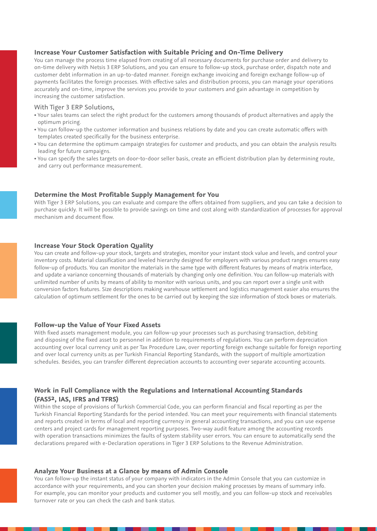#### **Increase Your Customer Satisfaction with Suitable Pricing and On-Time Delivery**

You can manage the process time elapsed from creating of all necessary documents for purchase order and delivery to on-time delivery with Netsis 3 ERP Solutions, and you can ensure to follow-up stock, purchase order, dispatch note and customer debt information in an up-to-dated manner. Foreign exchange invoicing and foreign exchange follow-up of payments facilitates the foreign processes. With effective sales and distribution process, you can manage your operations accurately and on-time, improve the services you provide to your customers and gain advantage in competition by increasing the customer satisfaction.

#### With Tiger 3 ERP Solutions,

- Your sales teams can select the right product for the customers among thousands of product alternatives and apply the optimum pricing.
- You can follow-up the customer information and business relations by date and you can create automatic offers with templates created specifically for the business enterprise.
- You can determine the optimum campaign strategies for customer and products, and you can obtain the analysis results leading for future campaigns.
- You can specify the sales targets on door-to-door seller basis, create an efficient distribution plan by determining route, and carry out performance measurement.

#### **Determine the Most Profitable Supply Management for You**

With Tiger 3 ERP Solutions, you can evaluate and compare the offers obtained from suppliers, and you can take a decision to purchase quickly. It will be possible to provide savings on time and cost along with standardization of processes for approval mechanism and document flow.

#### **Increase Your Stock Operation Quality**

You can create and follow-up your stock, targets and strategies, monitor your instant stock value and levels, and control your inventory costs. Material classification and leveled hierarchy designed for employers with various product ranges ensures easy follow-up of products. You can monitor the materials in the same type with different features by means of matrix interface, and update a variance concerning thousands of materials by changing only one definition. You can follow-up materials with unlimited number of units by means of ability to monitor with various units, and you can report over a single unit with conversion factors features. Size descriptions making warehouse settlement and logistics management easier also ensures the calculation of optimum settlement for the ones to be carried out by keeping the size information of stock boxes or materials.

#### **Follow-up the Value of Your Fixed Assets**

With fixed assets management module, you can follow-up your processes such as purchasing transaction, debiting and disposing of the fixed asset to personnel in addition to requirements of regulations. You can perform depreciation accounting over local currency unit as per Tax Procedure Law, over reporting foreign exchange suitable for foreign reporting and over local currency units as per Turkish Financial Reporting Standards, with the support of multiple amortization schedules. Besides, you can transfer different depreciation accounts to accounting over separate accounting accounts.

#### **Work in Full Compliance with the Regulations and International Accounting Standards (FAS52, IAS, IFRS and TFRS)**

Within the scope of provisions of Turkish Commercial Code, you can perform financial and fiscal reporting as per the Turkish Financial Reporting Standards for the period intended. You can meet your requirements with financial statements and reports created in terms of local and reporting currency in general accounting transactions, and you can use expense centers and project cards for management reporting purposes. Two-way audit feature among the accounting records with operation transactions minimizes the faults of system stability user errors. You can ensure to automatically send the declarations prepared with e-Declaration operations in Tiger 3 ERP Solutions to the Revenue Administration.

#### **Analyze Your Business at a Glance by means of Admin Console**

You can follow-up the instant status of your company with indicators in the Admin Console that you can customize in accordance with your requirements, and you can shorten your decision making processes by means of summary info. For example, you can monitor your products and customer you sell mostly, and you can follow-up stock and receivables turnover rate or you can check the cash and bank status.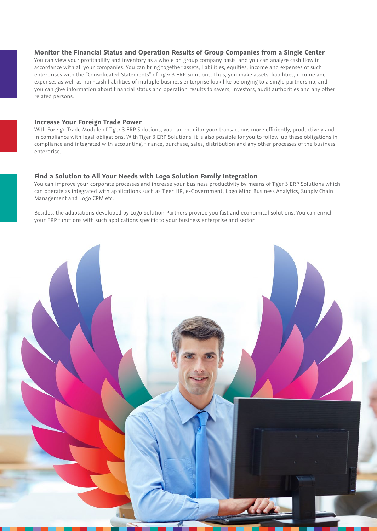#### **Monitor the Financial Status and Operation Results of Group Companies from a Single Center**

You can view your profitability and inventory as a whole on group company basis, and you can analyze cash flow in accordance with all your companies. You can bring together assets, liabilities, equities, income and expenses of such enterprises with the "Consolidated Statements" of Tiger 3 ERP Solutions. Thus, you make assets, liabilities, income and expenses as well as non-cash liabilities of multiple business enterprise look like belonging to a single partnership, and you can give information about financial status and operation results to savers, investors, audit authorities and any other related persons.

#### **Increase Your Foreign Trade Power**

With Foreign Trade Module of Tiger 3 ERP Solutions, you can monitor your transactions more efficiently, productively and in compliance with legal obligations. With Tiger 3 ERP Solutions, it is also possible for you to follow-up these obligations in compliance and integrated with accounting, finance, purchase, sales, distribution and any other processes of the business enterprise.

#### **Find a Solution to All Your Needs with Logo Solution Family Integration**

You can improve your corporate processes and increase your business productivity by means of Tiger 3 ERP Solutions which can operate as integrated with applications such as Tiger HR, e-Government, Logo Mind Business Analytics, Supply Chain Management and Logo CRM etc.

Besides, the adaptations developed by Logo Solution Partners provide you fast and economical solutions. You can enrich your ERP functions with such applications specific to your business enterprise and sector.

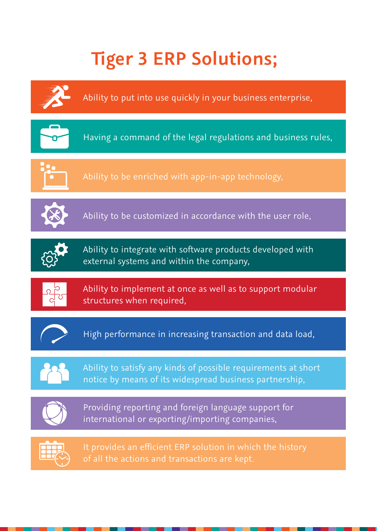### **Tiger 3 ERP Solutions;**





It provides an efficient ERP solution in which the history of all the actions and transactions are kept.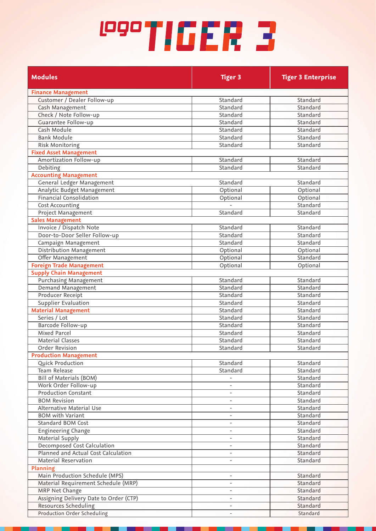## **COOTIGER 3**

| <b>Modules</b>                                      | <b>Tiger 3</b>           | <b>Tiger 3 Enterprise</b> |
|-----------------------------------------------------|--------------------------|---------------------------|
| <b>Finance Management</b>                           |                          |                           |
| Customer / Dealer Follow-up                         | Standard                 | Standard                  |
| Cash Management                                     | Standard                 | Standard                  |
| Check / Note Follow-up                              | Standard                 | Standard                  |
| Guarantee Follow-up                                 | Standard                 | Standard                  |
| Cash Module                                         | Standard                 | Standard                  |
| <b>Bank Module</b>                                  | Standard                 | Standard                  |
| Risk Monitoring                                     | Standard                 | Standard                  |
| <b>Fixed Asset Management</b>                       |                          |                           |
| Amortization Follow-up                              | Standard                 | Standard                  |
| Debiting                                            | Standard                 | Standard                  |
| <b>Accounting Management</b>                        |                          |                           |
| General Ledger Management                           | Standard                 | Standard                  |
| Analytic Budget Management                          | Optional                 | Optional                  |
| <b>Financial Consolidation</b>                      | Optional                 | Optional                  |
| Cost Accounting                                     |                          | Standard                  |
| Project Management                                  | Standard                 | Standard                  |
| <b>Sales Management</b>                             |                          |                           |
| Invoice / Dispatch Note                             | Standard                 | Standard                  |
| Door-to-Door Seller Follow-up                       | Standard                 | Standard                  |
| Campaign Management                                 | Standard                 | Standard                  |
| Distribution Management                             | Optional                 | Optional<br>Standard      |
| Offer Management<br><b>Foreign Trade Management</b> | Optional                 |                           |
| <b>Supply Chain Management</b>                      | Optional                 | Optional                  |
| <b>Purchasing Management</b>                        | Standard                 | Standard                  |
| Demand Management                                   | Standard                 | Standard                  |
| Producer Receipt                                    | Standard                 | Standard                  |
| <b>Supplier Evaluation</b>                          | Standard                 | Standard                  |
| <b>Material Management</b>                          | Standard                 | Standard                  |
| Series / Lot                                        | Standard                 | Standard                  |
| Barcode Follow-up                                   | Standard                 | Standard                  |
| Mixed Parcel                                        | Standard                 | Standard                  |
| <b>Material Classes</b>                             | Standard                 | Standard                  |
| Order Revision                                      | Standard                 | Standard                  |
| <b>Production Management</b>                        |                          |                           |
| Quick Production                                    | Standard                 | Standard                  |
| <b>Team Release</b>                                 | Standard                 | Standard                  |
| <b>Bill of Materials (BOM)</b>                      |                          | Standard                  |
| Work Order Follow-up                                | $\overline{\phantom{0}}$ | Standard                  |
| <b>Production Constant</b>                          | $\overline{\phantom{0}}$ | Standard                  |
| <b>BOM Revision</b>                                 | $\overline{\phantom{a}}$ | Standard                  |
| <b>Alternative Material Use</b>                     |                          | Standard                  |
| <b>BOM with Variant</b>                             |                          | Standard                  |
| Standard BOM Cost                                   |                          | Standard                  |
| <b>Engineering Change</b>                           |                          | Standard                  |
| <b>Material Supply</b>                              |                          | Standard                  |
| Decomposed Cost Calculation                         |                          | Standard                  |
| Planned and Actual Cost Calculation                 |                          | Standard                  |
| <b>Material Reservation</b>                         |                          | Standard                  |
| <b>Planning</b>                                     |                          |                           |
| Main Production Schedule (MPS)                      |                          | Standard                  |
| Material Requirement Schedule (MRP)                 |                          | Standard                  |
| MRP Net Change                                      | $\overline{\phantom{0}}$ | Standard                  |
| Assigning Delivery Date to Order (CTP)              |                          | Standard                  |
| Resources Scheduling                                | $\overline{\phantom{0}}$ | Standard                  |
| Production Order Scheduling                         | $\overline{a}$           | Standard                  |